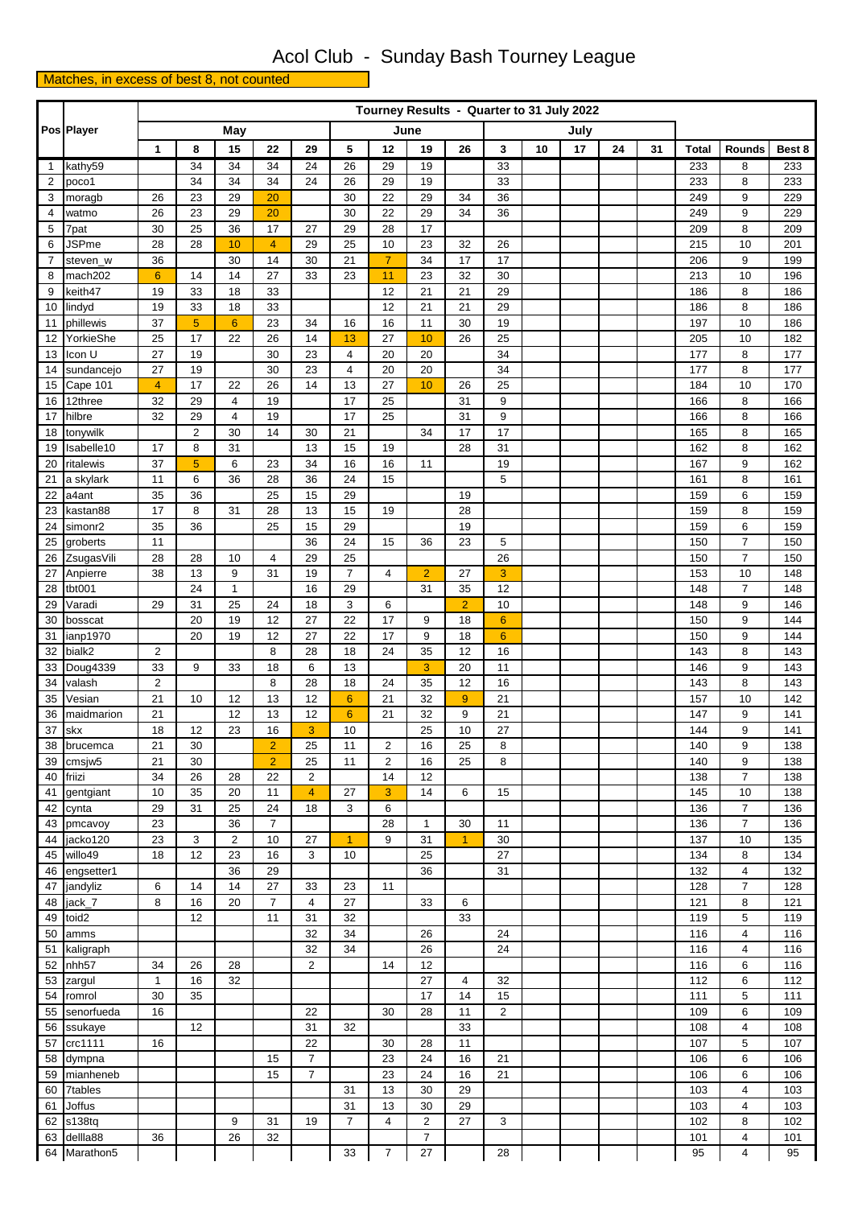## Acol Club - Sunday Bash Tourney League

Tourney Results - Quarter to 31 July 2022

## not counted **Matches** , in exd

|    | <b>Pos Player</b>  | May             |                |                |                |                | June           |                |                |                | July           |    |    |    |    |              |                         |        |  |
|----|--------------------|-----------------|----------------|----------------|----------------|----------------|----------------|----------------|----------------|----------------|----------------|----|----|----|----|--------------|-------------------------|--------|--|
|    |                    | 1               | 8              | 15             | 22             | 29             | 5              | 12             | 19             | 26             | 3              | 10 | 17 | 24 | 31 | <b>Total</b> | Rounds                  | Best 8 |  |
| 1  | kathy59            |                 | 34             | 34             | 34             | 24             | 26             | 29             | 19             |                | 33             |    |    |    |    | 233          | 8                       | 233    |  |
| 2  | poco1              |                 | 34             | 34             | 34             | 24             | 26             | 29             | 19             |                | 33             |    |    |    |    | 233          | 8                       | 233    |  |
| 3  | moragb             | 26              | 23             | 29             | 20             |                | 30             | 22             | 29             | 34             | 36             |    |    |    |    | 249          | 9                       | 229    |  |
| 4  | watmo              | 26              | 23             | 29             | 20             |                | 30             | 22             | 29             | 34             | 36             |    |    |    |    | 249          | 9                       | 229    |  |
| 5  | 7pat               | 30              | 25             | 36             | 17             | 27             | 29             | 28             | 17             |                |                |    |    |    |    | 209          | 8                       | 209    |  |
| 6  | JSPme              | 28              | 28             | 10             | $\overline{4}$ | 29             | 25             | 10             | 23             | 32             | 26             |    |    |    |    | 215          | 10                      | 201    |  |
| 7  | steven_w           | 36              |                | 30             | 14             | 30             | 21             | $\overline{7}$ | 34             | 17             | 17             |    |    |    |    | 206          | 9                       | 199    |  |
| 8  | mach202            | $6\phantom{1}6$ | 14             | 14             | 27             | 33             | 23             | 11             | 23             | 32             | 30             |    |    |    |    | 213          | 10                      | 196    |  |
| 9  | keith47            | 19              | 33             | 18             | 33             |                |                | 12             | 21             | 21             | 29             |    |    |    |    | 186          | 8                       | 186    |  |
| 10 | lindyd             | 19              | 33             | 18             | 33             |                |                | 12             | 21             | 21             | 29             |    |    |    |    | 186          | 8                       | 186    |  |
| 11 | phillewis          | 37              | $\sqrt{5}$     | $6\phantom{1}$ | 23             | 34             | 16             | 16             | 11             | 30             | 19             |    |    |    |    | 197          | 10                      | 186    |  |
| 12 | YorkieShe          | 25              | 17             | 22             | 26             | 14             | 13             | 27             | 10             | 26             | 25             |    |    |    |    | 205          | 10                      | 182    |  |
| 13 | Icon U             | 27              | 19             |                | 30             | 23             | 4              | 20             | 20             |                | 34             |    |    |    |    | 177          | 8                       | 177    |  |
| 14 | sundancejo         | 27              | 19             |                | 30             | 23             | $\overline{4}$ | 20             | 20             |                | 34             |    |    |    |    | 177          | 8                       | 177    |  |
| 15 | Cape 101           | $\overline{4}$  | 17             | 22             | 26             | 14             | 13             | 27             | 10             | 26             | 25             |    |    |    |    | 184          | 10                      | 170    |  |
| 16 | 12three            | 32              | 29             | $\overline{4}$ | 19             |                | 17             | 25             |                | 31             | 9              |    |    |    |    | 166          | 8                       | 166    |  |
| 17 | hilbre             | 32              | 29             | $\overline{4}$ | 19             |                | 17             | 25             |                | 31             | 9              |    |    |    |    | 166          | 8                       | 166    |  |
| 18 | tonywilk           |                 | $\overline{2}$ | 30             | 14             | 30             | 21             |                | 34             | 17             | 17             |    |    |    |    | 165          | 8                       | 165    |  |
| 19 | Isabelle10         | 17              | 8              | 31             |                | 13             | 15             | 19             |                | 28             | 31             |    |    |    |    | 162          | 8                       | 162    |  |
| 20 | ritalewis          | 37              | 5              | 6              | 23             | 34             | 16             | 16             | 11             |                | 19             |    |    |    |    | 167          | 9                       | 162    |  |
| 21 | a skylark          | 11              | 6              | 36             | 28             | 36             | 24             | 15             |                |                | 5              |    |    |    |    | 161          | 8                       | 161    |  |
| 22 | a4ant              | 35              | 36             |                | 25             | 15             | 29             |                |                | 19             |                |    |    |    |    | 159          | 6                       | 159    |  |
| 23 | kastan88           | 17              | 8              | 31             | 28             | 13             | 15             | 19             |                | 28             |                |    |    |    |    | 159          | 8                       | 159    |  |
| 24 | simonr2            | 35              | 36             |                | 25             | 15             | 29             |                |                | 19             |                |    |    |    |    | 159          | 6                       | 159    |  |
| 25 | groberts           | 11              |                |                |                | 36             | 24             | 15             | 36             | 23             | 5              |    |    |    |    | 150          | $\overline{7}$          | 150    |  |
| 26 | ZsugasVili         | 28              | 28             | 10             | 4              | 29             | 25             |                |                |                | 26             |    |    |    |    | 150          | $\overline{7}$          | 150    |  |
| 27 | Anpierre           | 38              | 13             | 9              | 31             | 19             | $\overline{7}$ | $\overline{4}$ | $\overline{2}$ | 27             | 3              |    |    |    |    | 153          | 10                      | 148    |  |
| 28 | tbt001             |                 | 24             | $\mathbf{1}$   |                | 16             | 29             |                | 31             | 35             | 12             |    |    |    |    | 148          | $\overline{7}$          | 148    |  |
| 29 | Varadi             | 29              | 31             | 25             | 24             | 18             | 3              | 6              |                | $\overline{2}$ | 10             |    |    |    |    | 148          | 9                       | 146    |  |
| 30 | bosscat            |                 | 20             | 19             | 12             | 27             | 22             | 17             | 9              | 18             | $6\phantom{1}$ |    |    |    |    | 150          | 9                       | 144    |  |
| 31 | ianp1970           |                 | 20             | 19             | 12             | 27             | 22             | 17             | 9              | 18             | $6\phantom{1}$ |    |    |    |    | 150          | 9                       | 144    |  |
| 32 | bialk2             | $\overline{c}$  |                |                | 8              | 28             | 18             | 24             | 35             | 12             | 16             |    |    |    |    | 143          | 8                       | 143    |  |
| 33 | Doug4339           | 33              | 9              | 33             | 18             | 6              | 13             |                | 3              | 20             | 11             |    |    |    |    | 146          | 9                       | 143    |  |
| 34 | valash             | $\overline{2}$  |                |                | 8              | 28             | 18             | 24             | 35             | 12             | 16             |    |    |    |    | 143          | 8                       | 143    |  |
| 35 | Vesian             | 21              | 10             | 12             | 13             | 12             | $6\phantom{1}$ | 21             | 32             | 9              | 21             |    |    |    |    | 157          | 10                      | 142    |  |
| 36 | maidmarion         | 21              |                | 12             | 13             | 12             | $\mathbf 6$    | 21             | 32             | 9              | 21             |    |    |    |    | 147          | 9                       | 141    |  |
| 37 | skx                | 18              | 12             | 23             | 16             | 3              | 10             |                | 25             | 10             | 27             |    |    |    |    | 144          | 9                       | 141    |  |
| 38 | brucemca           | 21              | 30             |                | $\overline{2}$ | 25             | 11             | $\overline{2}$ | 16             | 25             | 8              |    |    |    |    | 140          | 9                       | 138    |  |
| 39 | cmsjw <sub>5</sub> | 21              | 30             |                | $\overline{2}$ | 25             | 11             | $\overline{2}$ | 16             | 25             | 8              |    |    |    |    | 140          | 9                       | 138    |  |
| 40 | friizi             | 34              | 26             | 28             | 22             | $\overline{2}$ |                | 14             | 12             |                |                |    |    |    |    | 138          | $\overline{7}$          | 138    |  |
| 41 | gentgiant          | 10              | 35             | 20             | 11             | $\overline{4}$ | 27             | 3              | 14             | 6              | 15             |    |    |    |    | 145          | 10                      | 138    |  |
| 42 | cynta              | 29              | 31             | 25             | 24             | 18             | 3              | 6              |                |                |                |    |    |    |    | 136          | $\overline{7}$          | 136    |  |
| 43 | pmcavoy            | 23              |                | 36             | $\overline{7}$ |                |                | 28             | $\mathbf{1}$   | 30             | 11             |    |    |    |    | 136          | $\overline{7}$          | 136    |  |
| 44 | jacko120           | 23              | 3              | $\overline{2}$ | 10             | 27             | $\overline{1}$ | 9              | 31             | $\mathbf{1}$   | 30             |    |    |    |    | 137          | 10                      | 135    |  |
| 45 | willo49            | 18              | 12             | 23             | 16             | 3              | 10             |                | 25             |                | 27             |    |    |    |    | 134          | 8                       | 134    |  |
| 46 | engsetter1         |                 |                | 36             | 29             |                |                |                | 36             |                | 31             |    |    |    |    | 132          | 4                       | 132    |  |
| 47 | jandyliz           | 6               | 14             | 14             | 27             | 33             | 23             | 11             |                |                |                |    |    |    |    | 128          | 7                       | 128    |  |
| 48 | jack_7             | 8               | 16             | 20             | $\overline{7}$ | 4              | 27             |                | 33             | 6              |                |    |    |    |    | 121          | 8                       | 121    |  |
| 49 | toid2              |                 | 12             |                | 11             | 31             | 32             |                |                | 33             |                |    |    |    |    | 119          | 5                       | 119    |  |
| 50 | amms               |                 |                |                |                | 32             | 34             |                | 26             |                | 24             |    |    |    |    | 116          | 4                       | 116    |  |
| 51 | kaligraph          |                 |                |                |                | 32             | 34             |                | 26             |                | 24             |    |    |    |    | 116          | 4                       | 116    |  |
| 52 | nhh <sub>57</sub>  | 34              | 26             | 28             |                | 2              |                | 14             | 12             |                |                |    |    |    |    | 116          | 6                       | 116    |  |
| 53 | zargul             | $\mathbf{1}$    | 16             | 32             |                |                |                |                | 27             | 4              | 32             |    |    |    |    | 112          | 6                       | 112    |  |
| 54 | romrol             | 30              | 35             |                |                |                |                |                | 17             | 14             | 15             |    |    |    |    | 111          | 5                       | 111    |  |
| 55 | senorfueda         | 16              |                |                |                | 22             |                | 30             | 28             | 11             | $\overline{2}$ |    |    |    |    | 109          | 6                       | 109    |  |
| 56 | ssukaye            |                 | 12             |                |                | 31             | 32             |                |                | 33             |                |    |    |    |    | 108          | 4                       | 108    |  |
| 57 | crc1111            | 16              |                |                |                | 22             |                | 30             | 28             | 11             |                |    |    |    |    | 107          | 5                       | 107    |  |
| 58 | dympna             |                 |                |                | 15             | $\overline{7}$ |                | 23             | 24             | 16             | 21             |    |    |    |    | 106          | 6                       | 106    |  |
| 59 | mianheneb          |                 |                |                | 15             | $\overline{7}$ |                | 23             | 24             | 16             | 21             |    |    |    |    | 106          | 6                       | 106    |  |
| 60 | <b>7tables</b>     |                 |                |                |                |                | 31             | 13             | 30             | 29             |                |    |    |    |    | 103          | $\overline{\mathbf{4}}$ | 103    |  |
| 61 | Joffus             |                 |                |                |                |                | 31             | 13             | 30             | 29             |                |    |    |    |    | 103          | 4                       | 103    |  |
| 62 | s138tq             |                 |                | 9              | 31             | 19             | $\overline{7}$ | $\overline{4}$ | $\overline{2}$ | 27             | 3              |    |    |    |    | 102          | 8                       | 102    |  |
| 63 | dellla88           | 36              |                | 26             | 32             |                |                |                | 7              |                |                |    |    |    |    | 101          | 4                       | 101    |  |
| 64 | Marathon5          |                 |                |                |                |                | 33             | $\overline{7}$ | 27             |                | 28             |    |    |    |    | 95           | 4                       | 95     |  |